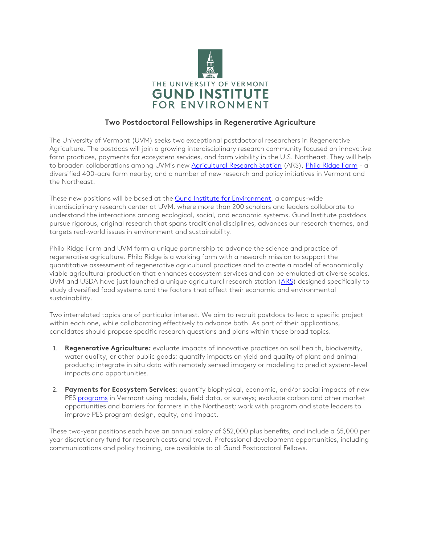

## **Two Postdoctoral Fellowships in Regenerative Agriculture**

The University of Vermont (UVM) seeks two exceptional postdoctoral researchers in Regenerative Agriculture. The postdocs will join a growing interdisciplinary research community focused on innovative farm practices, payments for ecosystem services, and farm viability in the U.S. Northeast. They will help to broaden collaborations among UVM's new [Agricultural Research Station](https://www.uvm.edu/uvmnews/news/uvm-and-usdas-agricultural-research-service-will-partner-identify-factors-help-small) (ARS)[, Philo Ridge Farm](https://www.philoridgefarm.com/) - a diversified 400-acre farm nearby, and a number of new research and policy initiatives in Vermont and the Northeast.

These new positions will be based at the **Gund Institute for Environment**, a campus-wide interdisciplinary research center at UVM, where more than 200 scholars and leaders collaborate to understand the interactions among ecological, social, and economic systems. Gund Institute postdocs pursue rigorous, original research that spans traditional disciplines, advances our research themes, and targets real-world issues in environment and sustainability.

Philo Ridge Farm and UVM form a unique partnership to advance the science and practice of regenerative agriculture. Philo Ridge is a working farm with a research mission to support the quantitative assessment of regenerative agricultural practices and to create a model of economically viable agricultural production that enhances ecosystem services and can be emulated at diverse scales. UVM and USDA have just launched a unique agricultural research station [\(ARS\)](https://www.uvm.edu/uvmnews/news/uvm-and-usdas-agricultural-research-service-will-partner-identify-factors-help-small) designed specifically to study diversified food systems and the factors that affect their economic and environmental sustainability.

Two interrelated topics are of particular interest. We aim to recruit postdocs to lead a specific project within each one, while collaborating effectively to advance both. As part of their applications, candidates should propose specific research questions and plans within these broad topics.

- 1. **Regenerative Agriculture:** evaluate impacts of innovative practices on soil health, biodiversity, water quality, or other public goods; quantify impacts on yield and quality of plant and animal products; integrate in situ data with remotely sensed imagery or modeling to predict system-level impacts and opportunities.
- 2. **Payments for Ecosystem Services**: quantify biophysical, economic, and/or social impacts of new PES [programs](https://agriculture.vermont.gov/VPFP) in Vermont using models, field data, or surveys; evaluate carbon and other market opportunities and barriers for farmers in the Northeast; work with program and state leaders to improve PES program design, equity, and impact.

These two-year positions each have an annual salary of \$52,000 plus benefits, and include a \$5,000 per year discretionary fund for research costs and travel. Professional development opportunities, including communications and policy training, are available to all Gund Postdoctoral Fellows.